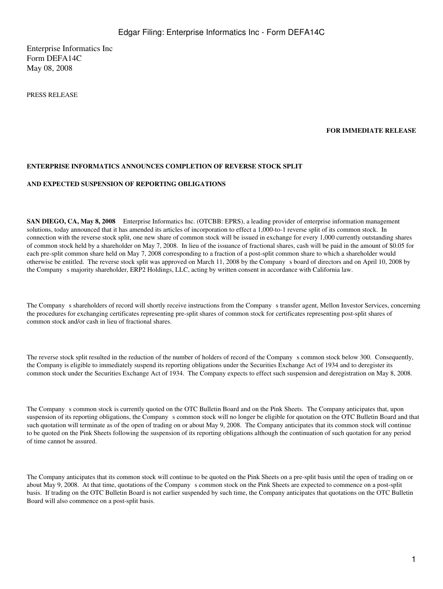Enterprise Informatics Inc Form DEFA14C May 08, 2008

PRESS RELEASE

### **FOR IMMEDIATE RELEASE**

### **ENTERPRISE INFORMATICS ANNOUNCES COMPLETION OF REVERSE STOCK SPLIT**

#### **AND EXPECTED SUSPENSION OF REPORTING OBLIGATIONS**

**SAN DIEGO, CA, May 8, 2008** Enterprise Informatics Inc. (OTCBB: EPRS), a leading provider of enterprise information management solutions, today announced that it has amended its articles of incorporation to effect a 1,000-to-1 reverse split of its common stock. In connection with the reverse stock split, one new share of common stock will be issued in exchange for every 1,000 currently outstanding shares of common stock held by a shareholder on May 7, 2008. In lieu of the issuance of fractional shares, cash will be paid in the amount of \$0.05 for each pre-split common share held on May 7, 2008 corresponding to a fraction of a post-split common share to which a shareholder would otherwise be entitled. The reverse stock split was approved on March 11, 2008 by the Companys board of directors and on April 10, 2008 by the Company s majority shareholder, ERP2 Holdings, LLC, acting by written consent in accordance with California law.

The Company s shareholders of record will shortly receive instructions from the Company s transfer agent, Mellon Investor Services, concerning the procedures for exchanging certificates representing pre-split shares of common stock for certificates representing post-split shares of common stock and/or cash in lieu of fractional shares.

The reverse stock split resulted in the reduction of the number of holders of record of the Companys common stock below 300. Consequently, the Company is eligible to immediately suspend its reporting obligations under the Securities Exchange Act of 1934 and to deregister its common stock under the Securities Exchange Act of 1934. The Company expects to effect such suspension and deregistration on May 8, 2008.

The Company s common stock is currently quoted on the OTC Bulletin Board and on the Pink Sheets. The Company anticipates that, upon suspension of its reporting obligations, the Companys common stock will no longer be eligible for quotation on the OTC Bulletin Board and that such quotation will terminate as of the open of trading on or about May 9, 2008. The Company anticipates that its common stock will continue to be quoted on the Pink Sheets following the suspension of its reporting obligations although the continuation of such quotation for any period of time cannot be assured.

The Company anticipates that its common stock will continue to be quoted on the Pink Sheets on a pre-split basis until the open of trading on or about May 9, 2008. At that time, quotations of the Company s common stock on the Pink Sheets are expected to commence on a post-split basis. If trading on the OTC Bulletin Board is not earlier suspended by such time, the Company anticipates that quotations on the OTC Bulletin Board will also commence on a post-split basis.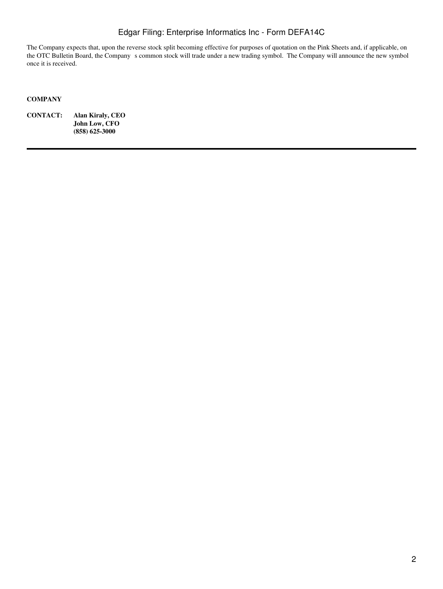# Edgar Filing: Enterprise Informatics Inc - Form DEFA14C

The Company expects that, upon the reverse stock split becoming effective for purposes of quotation on the Pink Sheets and, if applicable, on the OTC Bulletin Board, the Company s common stock will trade under a new trading symbol. The Company will announce the new symbol once it is received.

### **COMPANY**

**CONTACT: Alan Kiraly, CEO John Low, CFO (858) 625-3000**